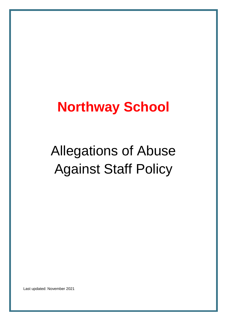## **Northway School**

# Allegations of Abuse Against Staff Policy

Last updated: November 2021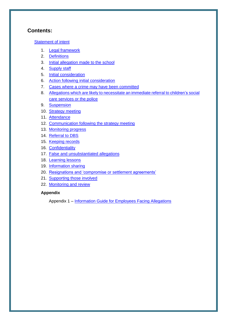#### **Contents:**

#### [Statement of intent](#page-2-0)

- 1. [Legal framework](#page-3-0)
- 2. [Definitions](#page-3-1)
- 3. [Initial allegation made to the school](#page-5-0)
- 4. [Supply staff](#page-6-0)
- 5. [Initial consideration](#page-6-1)
- 6. [Action following initial consideration](#page-7-0)
- 7. [Cases where a crime may have been committed](#page-8-0)
- 8. [Allegations which are likely to necessitate an immediate referral to children's social](#page-9-0)  [care services or the police](#page-9-0)
- 9. **[Suspension](#page-9-1)**
- 10. [Strategy](#page-10-0) meeting
- 11. [Attendance](#page-11-0)
- 12. [Communication following the strategy meeting](#page-12-0)
- 13. [Monitoring progress](#page-12-1)
- 14. [Referral](#page-12-2) to DBS
- 15. [Keeping records](#page-12-3)
- 16. [Confidentiality](#page-13-0)
- 17. False [and unsubstantiated](#page-14-0) allegations
- 18. [Learning lessons](#page-14-1)
- 19. [Information sharing](#page-14-2)
- 20. [Resignations and 'compromise or settlement agreements'](#page-15-0)
- 21. [Supporting those involved](#page-15-1)
- 22. [Monitoring and review](#page-17-0)

#### **Appendix**

Appendix 1 – [Information Guide for Employees Facing Allegations](#page-18-0)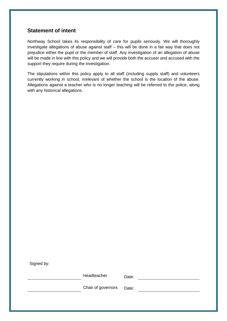#### <span id="page-2-0"></span>**Statement of intent**

Northway School takes its responsibility of care for pupils seriously. We will thoroughly investigate allegations of abuse against staff – this will be done in a fair way that does not prejudice either the pupil or the member of staff. Any investigation of an allegation of abuse will be made in line with this policy and we will provide both the accuser and accused with the support they require during the investigation.

The stipulations within this policy apply to all staff (including supply staff) and volunteers currently working in school, irrelevant of whether the school is the location of the abuse. Allegations against a teacher who is no longer teaching will be referred to the police, along with any historical allegations.

Signed by:

Headteacher Date: Chair of governors Date: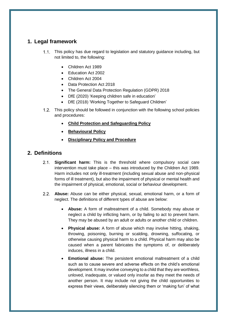## <span id="page-3-0"></span>**1. Legal framework**

- This policy has due regard to legislation and statutory guidance including, but not limited to, the following:
	- Children Act 1989
	- Education Act 2002
	- Children Act 2004
	- Data Protection Act 2018
	- The General Data Protection Regulation (GDPR) 2018
	- DfE (2020) 'Keeping children safe in education'
	- DfE (2018) 'Working Together to Safeguard Children'
- This policy should be followed in conjunction with the following school policies and procedures:
	- **Child Protection and Safeguarding Policy**
	- **Behavioural Policy**
	- **Disciplinary Policy and Procedure**

#### <span id="page-3-1"></span>**2. Definitions**

- **Significant harm:** This is the threshold where compulsory social care intervention must take place – this was introduced by the Children Act 1989. Harm includes not only ill-treatment (including sexual abuse and non-physical forms of ill treatment), but also the impairment of physical or mental health and the impairment of physical, emotional, social or behaviour development.
- **Abuse:** Abuse can be either physical, sexual, emotional harm, or a form of neglect. The definitions of different types of abuse are below:
	- **Abuse:** A form of maltreatment of a child. Somebody may abuse or neglect a child by inflicting harm, or by failing to act to prevent harm. They may be abused by an adult or adults or another child or children.
	- **Physical abuse:** A form of abuse which may involve hitting, shaking, throwing, poisoning, burning or scalding, drowning, suffocating, or otherwise causing physical harm to a child. Physical harm may also be caused when a parent fabricates the symptoms of, or deliberately induces, illness in a child.
	- **Emotional abuse:** The persistent emotional maltreatment of a child such as to cause severe and adverse effects on the child's emotional development. It may involve conveying to a child that they are worthless, unloved, inadequate, or valued only insofar as they meet the needs of another person. It may include not giving the child opportunities to express their views, deliberately silencing them or 'making fun' of what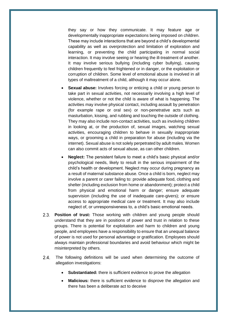they say or how they communicate. It may feature age or developmentally inappropriate expectations being imposed on children. These may include interactions that are beyond a child's developmental capability as well as overprotection and limitation of exploration and learning, or preventing the child participating in normal social interaction. It may involve seeing or hearing the ill-treatment of another. It may involve serious bullying (including cyber bullying), causing children frequently to feel frightened or in danger, or the exploitation or corruption of children. Some level of emotional abuse is involved in all types of maltreatment of a child, although it may occur alone.

- **Sexual abuse:** Involves forcing or enticing a child or young person to take part in sexual activities, not necessarily involving a high level of violence, whether or not the child is aware of what is happening. The activities may involve physical contact, including assault by penetration (for example rape or oral sex) or non-penetrative acts such as masturbation, kissing, and rubbing and touching the outside of clothing. They may also include non-contact activities, such as involving children in looking at, or the production of, sexual images, watching sexual activities, encouraging children to behave in sexually inappropriate ways, or grooming a child in preparation for abuse (including via the internet). Sexual abuse is not solely perpetrated by adult males. Women can also commit acts of sexual abuse, as can other children.
- **Neglect:** The persistent failure to meet a child's basic physical and/or psychological needs, likely to result in the serious impairment of the child's health or development. Neglect may occur during pregnancy as a result of maternal substance abuse. Once a child is born, neglect may involve a parent or carer failing to: provide adequate food, clothing and shelter (including exclusion from home or abandonment); protect a child from physical and emotional harm or danger; ensure adequate supervision (including the use of inadequate care-givers); or ensure access to appropriate medical care or treatment. It may also include neglect of, or unresponsiveness to, a child's basic emotional needs.
- **Position of trust:** Those working with children and young people should understand that they are in positions of power and trust in relation to these groups. There is potential for exploitation and harm to children and young people, and employees have a responsibility to ensure that an unequal balance of power is not used for personal advantage or gratification. Employees should always maintain professional boundaries and avoid behaviour which might be misinterpreted by others.
- $2.4.$ The following definitions will be used when determining the outcome of allegation investigations:
	- **Substantiated:** there is sufficient evidence to prove the allegation
	- **Malicious:** there is sufficient evidence to disprove the allegation and there has been a deliberate act to deceive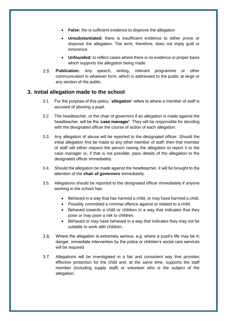- **False:** the is sufficient evidence to disprove the allegation
- **Unsubstantiated:** there is insufficient evidence to either prove or disprove the allegation. The term, therefore, does not imply guilt or innocence
- **Unfounded:** to reflect cases where there is no evidence or proper basis which supports the allegation being made
- $2.5.$ **Publication:** Any speech, writing, relevant programme or other communication in whatever form, which is addressed to the public at large or any section of the public.

#### <span id="page-5-0"></span>**3. Initial allegation made to the school**

- 3.1. For the purpose of this policy, '**allegation**' refers to where a member of staff is accused of abusing a pupil.
- 3.2. The headteacher, or the chair of governors if an allegation is made against the headteacher, will be the '**case manager'**. They will be responsible for deciding with the designated officer the course of action of each allegation.
- 3.3. Any allegation of abuse will be reported to the designated officer. Should the initial allegation first be made to any other member of staff, then that member of staff will either request the person raising the allegation to report it to the case manager or, if that is not possible, pass details of the allegation to the designated officer immediately.
- 3.4. Should the allegation be made against the headteacher, it will be brought to the attention of the **chair of governors** immediately.
- 3.5. Allegations should be reported to the designated officer immediately if anyone working in the school has:
	- Behaved in a way that has harmed a child, or may have harmed a child.
	- Possibly committed a criminal offence against or related to a child.
	- Behaved towards a child or children in a way that indicates that they pose or may pose a risk to children.
	- Behaved or may have behaved in a way that indicates they may not be suitable to work with children.
- $3.6.$ Where the allegation is extremely serious, e.g. where a pupil's life may be in danger, immediate intervention by the police or children's social care services will be required.
- $3.7.$ Allegations will be investigated in a fair and consistent way that provides effective protection for the child and, at the same time, supports the staff member (including supply staff) or volunteer who is the subject of the allegation.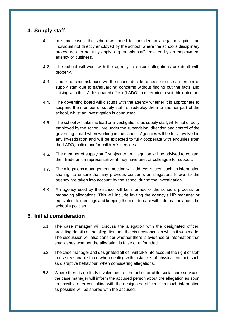## <span id="page-6-0"></span>**4. Supply staff**

- $4.1.$ In some cases, the school will need to consider an allegation against an individual not directly employed by the school, where the school's disciplinary procedures do not fully apply, e.g. supply staff provided by an employment agency or business.
- $4.2.$ The school will work with the agency to ensure allegations are dealt with properly.
- $4.3.$ Under no circumstances will the school decide to cease to use a member of supply staff due to safeguarding concerns without finding out the facts and liaising with the LA designated officer (LADO) to determine a suitable outcome.
- $4.4.$ The governing board will discuss with the agency whether it is appropriate to suspend the member of supply staff, or redeploy them to another part of the school, whilst an investigation is conducted.
- $4.5.$ The school will take the lead on investigations, as supply staff, while not directly employed by the school, are under the supervision, direction and control of the governing board when working in the school. Agencies will be fully involved in any investigation and will be expected to fully cooperate with enquiries from the LADO, police and/or children's services.
- $4.6$ The member of supply staff subject to an allegation will be advised to contact their trade union representative, if they have one, or colleague for support.
- $4.7.$ The allegations management meeting will address issues, such as information sharing, to ensure that any previous concerns or allegations known to the agency are taken into account by the school during the investigation.
- $4.8.$ An agency used by the school will be informed of the school's process for managing allegations. This will include inviting the agency's HR manager or equivalent to meetings and keeping them up-to-date with information about the school's policies.

## <span id="page-6-1"></span>**5. Initial consideration**

- 5.1. The case manager will discuss the allegation with the designated officer, providing details of the allegation and the circumstances in which it was made. The discussion will also consider whether there is evidence or information that establishes whether the allegation is false or unfounded.
- 5.2. The case manager and designated officer will take into account the right of staff to use reasonable force when dealing with instances of physical contact, such as disruptive behaviour, when considering allegations.
- 5.3. Where there is no likely involvement of the police or child social care services, the case manager will inform the accused person about the allegation as soon as possible after consulting with the designated officer – as much information as possible will be shared with the accused.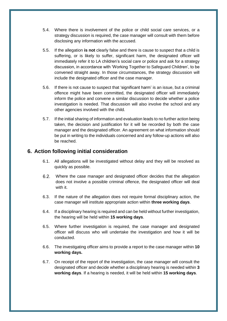- 5.4. Where there is involvement of the police or child social care services, or a strategy discussion is required, the case manager will consult with them before disclosing any information with the accused.
- 5.5. If the allegation **is not** clearly false and there is cause to suspect that a child is suffering, or is likely to suffer, significant harm, the designated officer will immediately refer it to LA children's social care or police and ask for a strategy discussion, in accordance with 'Working Together to Safeguard Children', to be convened straight away. In those circumstances, the strategy discussion will include the designated officer and the case manager.
- 5.6. If there is not cause to suspect that 'significant harm' is an issue, but a criminal offence might have been committed, the designated officer will immediately inform the police and convene a similar discussion to decide whether a police investigation is needed. That discussion will also involve the school and any other agencies involved with the child.
- 5.7. If the initial sharing of information and evaluation leads to no further action being taken, the decision and justification for it will be recorded by both the case manager and the designated officer. An agreement on what information should be put in writing to the individuals concerned and any follow-up actions will also be reached.

#### <span id="page-7-0"></span>**6. Action following initial consideration**

- 6.1. All allegations will be investigated without delay and they will be resolved as quickly as possible.
- $6.2.$ Where the case manager and designated officer decides that the allegation does not involve a possible criminal offence, the designated officer will deal with it.
- 6.3. If the nature of the allegation does not require formal disciplinary action, the case manager will institute appropriate action within **three working days**.
- 6.4. If a disciplinary hearing is required and can be held without further investigation, the hearing will be held within **15 working days**.
- 6.5. Where further investigation is required, the case manager and designated officer will discuss who will undertake the investigation and how it will be conducted.
- 6.6. The investigating officer aims to provide a report to the case manager within **10 working days.**
- 6.7. On receipt of the report of the investigation, the case manager will consult the designated officer and decide whether a disciplinary hearing is needed within **3 working days**. If a hearing is needed, it will be held within **15 working days**.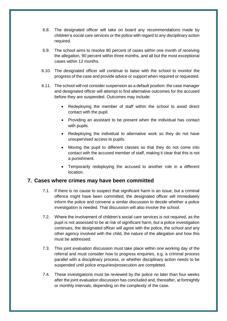- 6.8. The designated officer will take on board any recommendations made by children's social care services or the police with regard to any disciplinary action required.
- 6.9. The school aims to resolve 80 percent of cases within one month of receiving the allegation, 90 percent within three months, and all but the most exceptional cases within 12 months.
- 6.10. The designated officer will continue to liaise with the school to monitor the progress of the case and provide advice or support when required or requested.
- 6.11. The school will not consider suspension as a default position: the case manager and designated officer will attempt to find alternative outcomes for the accused before they are suspended. Outcomes may include:
	- Redeploying the member of staff within the school to avoid direct contact with the pupil.
	- Providing an assistant to be present when the individual has contact with pupils.
	- Redeploying the individual to alternative work so they do not have unsupervised access to pupils.
	- Moving the pupil to different classes so that they do not come into contact with the accused member of staff, making it clear that this is not a punishment.
	- Temporarily redeploying the accused to another role in a different location.

#### <span id="page-8-0"></span>**7. Cases where crimes may have been committed**

- 7.1. If there is no cause to suspect that significant harm is an issue, but a criminal offence might have been committed, the designated officer will immediately inform the police and convene a similar discussion to decide whether a police investigation is needed. That discussion will also involve the school.
- 7.2. Where the involvement of children's social care services is not required, as the pupil is not assessed to be at risk of significant harm, but a police investigation continues, the designated officer will agree with the police, the school and any other agency involved with the child, the nature of the allegation and how this must be addressed.
- 7.3. This joint evaluation discussion must take place within one working day of the referral and must consider how to progress enquiries, e.g. a criminal process parallel with a disciplinary process, or whether disciplinary action needs to be suspended until police enquiries/prosecution are completed.
- 7.4. These investigations must be reviewed by the police no later than four weeks after the joint evaluation discussion has concluded and, thereafter, at fortnightly or monthly intervals, depending on the complexity of the case.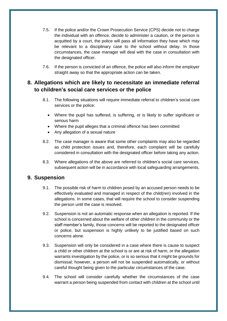- 7.5. If the police and/or the Crown Prosecution Service (CPS) decide not to charge the individual with an offence, decide to administer a caution, or the person is acquitted by a court, the police will pass all information they have which may be relevant to a disciplinary case to the school without delay. In those circumstances, the case manager will deal with the case in consultation with the designated officer.
- 7.6. If the person is convicted of an offence, the police will also inform the employer straight away so that the appropriate action can be taken.

## <span id="page-9-0"></span>**8. Allegations which are likely to necessitate an immediate referral to children's social care services or the police**

- 8.1. The following situations will require immediate referral to children's social care services or the police:
	- Where the pupil has suffered, is suffering, or is likely to suffer significant or serious harm
	- Where the pupil alleges that a criminal offence has been committed
	- Any allegation of a sexual nature
- 8.2. The case manager is aware that some other complaints may also be regarded as child protection issues and, therefore, each complaint will be carefully considered in consultation with the designated officer before taking any action.
- 8.3. Where allegations of the above are referred to children's social care services, subsequent action will be in accordance with local safeguarding arrangements.

#### <span id="page-9-1"></span>**9. Suspension**

- 9.1. The possible risk of harm to children posed by an accused person needs to be effectively evaluated and managed in respect of the child(ren) involved in the allegations. In some cases, that will require the school to consider suspending the person until the case is resolved.
- 9.2. Suspension is not an automatic response when an allegation is reported. If the school is concerned about the welfare of other children in the community or the staff member's family, those concerns will be reported to the designated officer or police, but suspension is highly unlikely to be justified based on such concerns alone.
- 9.3. Suspension will only be considered in a case where there is cause to suspect a child or other children at the school is or are at risk of harm, or the allegation warrants investigation by the police, or is so serious that it might be grounds for dismissal; however, a person will not be suspended automatically, or without careful thought being given to the particular circumstances of the case.
- 9.4. The school will consider carefully whether the circumstances of the case warrant a person being suspended from contact with children at the school until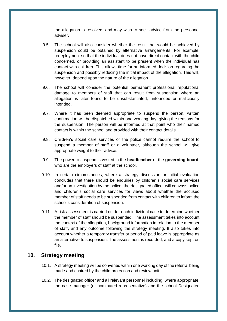the allegation is resolved, and may wish to seek advice from the personnel adviser.

- 9.5. The school will also consider whether the result that would be achieved by suspension could be obtained by alternative arrangements. For example, redeployment so that the individual does not have direct contact with the child concerned, or providing an assistant to be present when the individual has contact with children. This allows time for an informed decision regarding the suspension and possibly reducing the initial impact of the allegation. This will, however, depend upon the nature of the allegation.
- 9.6. The school will consider the potential permanent professional reputational damage to members of staff that can result from suspension where an allegation is later found to be unsubstantiated, unfounded or maliciously intended.
- 9.7. Where it has been deemed appropriate to suspend the person, written confirmation will be dispatched within one working day, giving the reasons for the suspension. The person will be informed at that point who their named contact is within the school and provided with their contact details.
- 9.8. Children's social care services or the police cannot require the school to suspend a member of staff or a volunteer, although the school will give appropriate weight to their advice.
- 9.9. The power to suspend is vested in the **headteacher** or the **governing board**, who are the employers of staff at the school.
- 9.10. In certain circumstances, where a strategy discussion or initial evaluation concludes that there should be enquiries by children's social care services and/or an investigation by the police, the designated officer will canvass police and children's social care services for views about whether the accused member of staff needs to be suspended from contact with children to inform the school's consideration of suspension.
- 9.11. A risk assessment is carried out for each individual case to determine whether the member of staff should be suspended. The assessment takes into account the context of the allegation, background information in relation to the member of staff, and any outcome following the strategy meeting. It also takes into account whether a temporary transfer or period of paid leave is appropriate as an alternative to suspension. The assessment is recorded, and a copy kept on file.

#### <span id="page-10-0"></span>**10. Strategy meeting**

- 10.1. A strategy meeting will be convened within one working day of the referral being made and chaired by the child protection and review unit.
- 10.2. The designated officer and all relevant personnel including, where appropriate, the case manager (or nominated representative) and the school Designated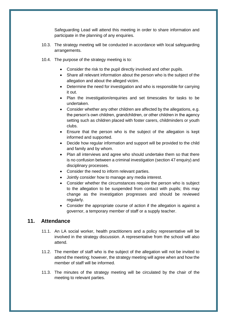Safeguarding Lead will attend this meeting in order to share information and participate in the planning of any enquiries.

- 10.3. The strategy meeting will be conducted in accordance with local safeguarding arrangements.
- 10.4. The purpose of the strategy meeting is to:
	- Consider the risk to the pupil directly involved and other pupils.
	- Share all relevant information about the person who is the subject of the allegation and about the alleged victim.
	- Determine the need for investigation and who is responsible for carrying it out.
	- Plan the investigation/enquiries and set timescales for tasks to be undertaken.
	- Consider whether any other children are affected by the allegations, e.g. the person's own children, grandchildren, or other children in the agency setting such as children placed with foster carers, childminders or youth clubs.
	- Ensure that the person who is the subject of the allegation is kept informed and supported.
	- Decide how regular information and support will be provided to the child and family and by whom.
	- Plan all interviews and agree who should undertake them so that there is no confusion between a criminal investigation (section 47 enquiry) and disciplinary processes.
	- Consider the need to inform relevant parties.
	- Jointly consider how to manage any media interest.
	- Consider whether the circumstances require the person who is subject to the allegation to be suspended from contact with pupils; this may change as the investigation progresses and should be reviewed regularly.
	- Consider the appropriate course of action if the allegation is against a governor, a temporary member of staff or a supply teacher.

#### <span id="page-11-0"></span>**11. Attendance**

- 11.1. An LA social worker, health practitioners and a policy representative will be involved in the strategy discussion. A representative from the school will also attend.
- 11.2. The member of staff who is the subject of the allegation will not be invited to attend the meeting; however, the strategy meeting will agree when and how the member of staff will be informed.
- 11.3. The minutes of the strategy meeting will be circulated by the chair of the meeting to relevant parties.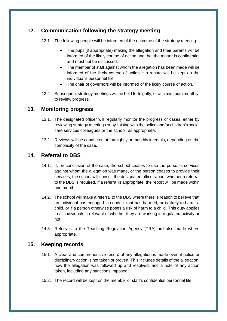## <span id="page-12-0"></span>**12. Communication following the strategy meeting**

12.1. The following people will be informed of the outcome of the strategy meeting:

- The pupil (if appropriate) making the allegation and their parents will be informed of the likely course of action and that the matter is confidential and must not be discussed.
- The member of staff against whom the allegation has been made will be informed of the likely course of action − a record will be kept on the individual's personnel file.
- The chair of governors will be informed of the likely course of action.
- 12.2. Subsequent strategy meetings will be held fortnightly, or at a minimum monthly, to review progress.

## <span id="page-12-1"></span>**13. Monitoring progress**

- 13.1. The designated officer will regularly monitor the progress of cases, either by reviewing strategy meetings or by liaising with the police and/or children's social care services colleagues or the school, as appropriate.
- 13.2. Reviews will be conducted at fortnightly or monthly intervals, depending on the complexity of the case.

## <span id="page-12-2"></span>**14. Referral to DBS**

- 14.1. If, on conclusion of the case, the school ceases to use the person's services against whom the allegation was made, or the person ceases to provide their services, the school will consult the designated officer about whether a referral to the DBS is required. If a referral is appropriate, the report will be made within one month.
- 14.2. The school will make a referral to the DBS where there is reason to believe that an individual has engaged in conduct that has harmed, or is likely to harm, a child, or if a person otherwise poses a risk of harm to a child. This duty applies to all individuals, irrelevant of whether they are working in regulated activity or not.
- 14.3. Referrals to the Teaching Regulation Agency (TRA) are also made where appropriate.

## <span id="page-12-3"></span>**15. Keeping records**

- 15.1. A clear and comprehensive record of any allegation is made even if police or disciplinary action is not taken or proven. This includes details of the allegation, how the allegation was followed up and resolved, and a note of any action taken, including any sanctions imposed.
- 15.2. The record will be kept on the member of staff's confidential personnel file.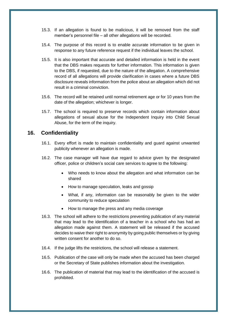- 15.3. If an allegation is found to be malicious, it will be removed from the staff member's personnel file – all other allegations will be recorded.
- 15.4. The purpose of this record is to enable accurate information to be given in response to any future reference request if the individual leaves the school.
- 15.5. It is also important that accurate and detailed information is held in the event that the DBS makes requests for further information. This information is given to the DBS, if requested, due to the nature of the allegation. A comprehensive record of all allegations will provide clarification in cases where a future DBS disclosure reveals information from the police about an allegation which did not result in a criminal conviction.
- 15.6. The record will be retained until normal retirement age or for 10 years from the date of the allegation; whichever is longer.
- 15.7. The school is required to preserve records which contain information about allegations of sexual abuse for the Independent Inquiry into Child Sexual Abuse, for the term of the inquiry.

#### <span id="page-13-0"></span>**16. Confidentiality**

- 16.1. Every effort is made to maintain confidentiality and guard against unwanted publicity whenever an allegation is made.
- 16.2. The case manager will have due regard to advice given by the designated officer, police or children's social care services to agree to the following:
	- Who needs to know about the allegation and what information can be shared
	- How to manage speculation, leaks and gossip
	- What, if any, information can be reasonably be given to the wider community to reduce speculation
	- How to manage the press and any media coverage
- 16.3. The school will adhere to the restrictions preventing publication of any material that may lead to the identification of a teacher in a school who has had an allegation made against them. A statement will be released if the accused decides to waive their right to anonymity by going public themselves or by giving written consent for another to do so.
- 16.4. If the judge lifts the restrictions, the school will release a statement.
- 16.5. Publication of the case will only be made when the accused has been charged or the Secretary of State publishes information about the investigation.
- 16.6. The publication of material that may lead to the identification of the accused is prohibited.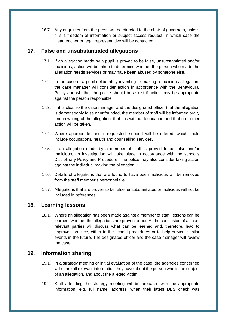16.7. Any enquiries from the press will be directed to the chair of governors, unless it is a freedom of information or subject access request, in which case the Headteacher or legal representative will be contacted.

#### <span id="page-14-0"></span>**17. False and unsubstantiated allegations**

- 17.1. If an allegation made by a pupil is proved to be false, unsubstantiated and/or malicious, action will be taken to determine whether the person who made the allegation needs services or may have been abused by someone else.
- 17.2. In the case of a pupil deliberately inventing or making a malicious allegation, the case manager will consider action in accordance with the Behavioural Policy and whether the police should be asked if action may be appropriate against the person responsible.
- 17.3. If it is clear to the case manager and the designated officer that the allegation is demonstrably false or unfounded, the member of staff will be informed orally and in writing of the allegation, that it is without foundation and that no further action will be taken.
- 17.4. Where appropriate, and if requested, support will be offered, which could include occupational health and counselling services.
- 17.5. If an allegation made by a member of staff is proved to be false and/or malicious, an investigation will take place in accordance with the school's Disciplinary Policy and Procedure. The police may also consider taking action against the individual making the allegation.
- 17.6. Details of allegations that are found to have been malicious will be removed from the staff member's personnel file.
- 17.7. Allegations that are proven to be false, unsubstantiated or malicious will not be included in references.

#### <span id="page-14-1"></span>**18. Learning lessons**

18.1. Where an allegation has been made against a member of staff, lessons can be learned, whether the allegations are proven or not. At the conclusion of a case, relevant parties will discuss what can be learned and, therefore, lead to improved practice, either to the school procedures or to help prevent similar events in the future. The designated officer and the case manager will review the case.

#### <span id="page-14-2"></span>**19. Information sharing**

- 19.1. In a strategy meeting or initial evaluation of the case, the agencies concerned will share all relevant information they have about the person who is the subject of an allegation, and about the alleged victim.
- 19.2. Staff attending the strategy meeting will be prepared with the appropriate information, e.g. full name, address, when their latest DBS check was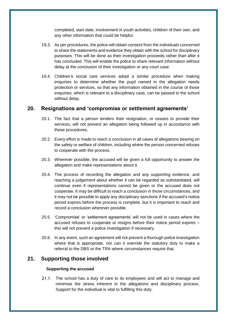completed, start date, involvement in youth activities, children of their own, and any other information that could be helpful.

- 19.3. As per procedures, the police will obtain consent from the individuals concerned to share the statements and evidence they obtain with the school for disciplinary purposes. This will be done as their investigation proceeds rather than after it has concluded. This will enable the police to share relevant information without delay at the conclusion of their investigation or any court case.
- 19.4. Children's social care services adopt a similar procedure when making enquiries to determine whether the pupil named in the allegation needs protection or services, so that any information obtained in the course of those enquiries, which is relevant to a disciplinary case, can be passed to the school without delay.

#### <span id="page-15-0"></span>**20. Resignations and 'compromise or settlement agreements'**

- 20.1. The fact that a person tenders their resignation, or ceases to provide their services, will not prevent an allegation being followed up in accordance with these procedures.
- 20.2. Every effort is made to reach a conclusion in all cases of allegations bearing on the safety or welfare of children, including where the person concerned refuses to cooperate with the process.
- 20.3. Wherever possible, the accused will be given a full opportunity to answer the allegation and make representations about it.
- 20.4. The process of recording the allegation and any supporting evidence, and reaching a judgement about whether it can be regarded as substantiated, will continue even if representations cannot be given or the accused does not cooperate. It may be difficult to reach a conclusion in those circumstances, and it may not be possible to apply any disciplinary sanctions if the accused's notice period expires before the process is complete, but it is important to reach and record a conclusion wherever possible.
- 20.5. 'Compromise' or 'settlement agreements' will not be used in cases where the accused refuses to cooperate or resigns before their notice period expires – this will not prevent a police investigation if necessary.
- 20.6. In any event, such an agreement will not prevent a thorough police investigation where that is appropriate, nor can it override the statutory duty to make a referral to the DBS or the TRA where circumstances require that.

#### <span id="page-15-1"></span>**21. Supporting those involved**

#### **Supporting the accused**

21.1. The school has a duty of care to its employees and will act to manage and minimise the stress inherent in the allegations and disciplinary process. Support for the individual is vital to fulfilling this duty.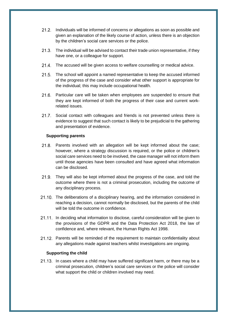- 21.2. Individuals will be informed of concerns or allegations as soon as possible and given an explanation of the likely course of action, unless there is an objection by the children's social care services or the police.
- The individual will be advised to contact their trade union representative, if they have one, or a colleague for support.
- The accused will be given access to welfare counselling or medical advice.
- 21.5. The school will appoint a named representative to keep the accused informed of the progress of the case and consider what other support is appropriate for the individual; this may include occupational health.
- 21.6. Particular care will be taken when employees are suspended to ensure that they are kept informed of both the progress of their case and current workrelated issues.
- 21.7. Social contact with colleagues and friends is not prevented unless there is evidence to suggest that such contact is likely to be prejudicial to the gathering and presentation of evidence.

#### **Supporting parents**

- 21.8. Parents involved with an allegation will be kept informed about the case; however, where a strategy discussion is required, or the police or children's social care services need to be involved, the case manager will not inform them until those agencies have been consulted and have agreed what information can be disclosed.
- 21.9. They will also be kept informed about the progress of the case, and told the outcome where there is not a criminal prosecution, including the outcome of any disciplinary process.
- 21.10. The deliberations of a disciplinary hearing, and the information considered in reaching a decision, cannot normally be disclosed, but the parents of the child will be told the outcome in confidence.
- 21.11. In deciding what information to disclose, careful consideration will be given to the provisions of the GDPR and the Data Protection Act 2018, the law of confidence and, where relevant, the Human Rights Act 1998.
- Parents will be reminded of the requirement to maintain confidentiality about any allegations made against teachers whilst investigations are ongoing.

#### **Supporting the child**

21.13. In cases where a child may have suffered significant harm, or there may be a criminal prosecution, children's social care services or the police will consider what support the child or children involved may need.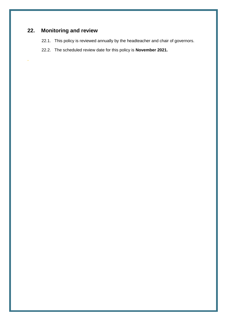## <span id="page-17-0"></span>**22. Monitoring and review**

**.**

- 22.1. This policy is reviewed annually by the headteacher and chair of governors.
- 22.2. The scheduled review date for this policy is **November 2021.**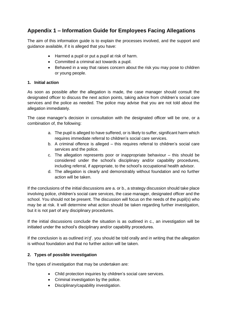## <span id="page-18-0"></span>**Appendix 1 – Information Guide for Employees Facing Allegations**

The aim of this information guide is to explain the processes involved, and the support and guidance available, if it is alleged that you have:

- Harmed a pupil or put a pupil at risk of harm.
- Committed a criminal act towards a pupil.
- Behaved in a way that raises concern about the risk you may pose to children or young people.

#### **1. Initial action**

As soon as possible after the allegation is made, the case manager should consult the designated officer to discuss the next action points, taking advice from children's social care services and the police as needed. The police may advise that you are not told about the allegation immediately.

The case manager's decision in consultation with the designated officer will be one, or a combination of, the following:

- a. The pupil is alleged to have suffered, or is likely to suffer, significant harm which requires immediate referral to children's social care services.
- b. A criminal offence is alleged this requires referral to children's social care services and the police.
- c. The allegation represents poor or inappropriate behaviour this should be considered under the school's disciplinary and/or capability procedures, including referral, if appropriate, to the school's occupational health advisor.
- d. The allegation is clearly and demonstrably without foundation and no further action will be taken.

If the conclusions of the initial discussions are a. or b., a strategy discussion should take place involving police, children's social care services, the case manager, designated officer and the school. You should not be present. The discussion will focus on the needs of the pupil(s) who may be at risk. It will determine what action should be taken regarding further investigation, but it is not part of any disciplinary procedures.

If the initial discussions conclude the situation is as outlined in c., an investigation will be initiated under the school's disciplinary and/or capability procedures.

If the conclusion is as outlined in'd'. you should be told orally and in writing that the allegation is without foundation and that no further action will be taken.

#### **2. Types of possible investigation**

The types of investigation that may be undertaken are:

- Child protection inquiries by children's social care services.
- Criminal investigation by the police.
- Disciplinary/capability investigation.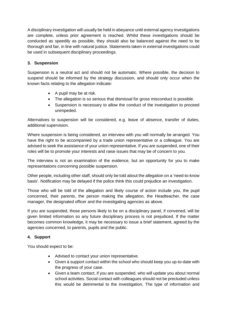A disciplinary investigation will usually be held in abeyance until external agency investigations are complete, unless prior agreement is reached. Whilst these investigations should be conducted as speedily as possible, they should also be balanced against the need to be thorough and fair, in line with natural justice. Statements taken in external investigations could be used in subsequent disciplinary proceedings.

#### **3. Suspension**

Suspension is a neutral act and should not be automatic. Where possible, the decision to suspend should be informed by the strategy discussion, and should only occur when the known facts relating to the allegation indicate:

- $\bullet$  A pupil may be at risk.
- The allegation is so serious that dismissal for gross misconduct is possible.
- Suspension is necessary to allow the conduct of the investigation to proceed unimpeded.

Alternatives to suspension will be considered, e.g. leave of absence, transfer of duties, additional supervision.

Where suspension is being considered, an interview with you will normally be arranged. You have the right to be accompanied by a trade union representative or a colleague. You are advised to seek the assistance of your union representative. If you are suspended, one of their roles will be to promote your interests and raise issues that may be of concern to you.

The interview is not an examination of the evidence, but an opportunity for you to make representations concerning possible suspension.

Other people, including other staff, should only be told about the allegation on a 'need-to-know basis'. Notification may be delayed if the police think this could prejudice an investigation.

Those who will be told of the allegation and likely course of action include you, the pupil concerned, their parents, the person making the allegation, the Headteacher, the case manager, the designated officer and the investigating agencies as above.

If you are suspended, those persons likely to be on a disciplinary panel, if convened, will be given limited information so any future disciplinary process is not prejudiced. If the matter becomes common knowledge, it may be necessary to issue a brief statement, agreed by the agencies concerned, to parents, pupils and the public.

#### **4. Support**

You should expect to be:

- Advised to contact your union representative.
- Given a support contact within the school who should keep you up-to-date with the progress of your case.
- Given a team contact, if you are suspended, who will update you about normal school activities. Social contact with colleagues should not be precluded unless this would be detrimental to the investigation. The type of information and